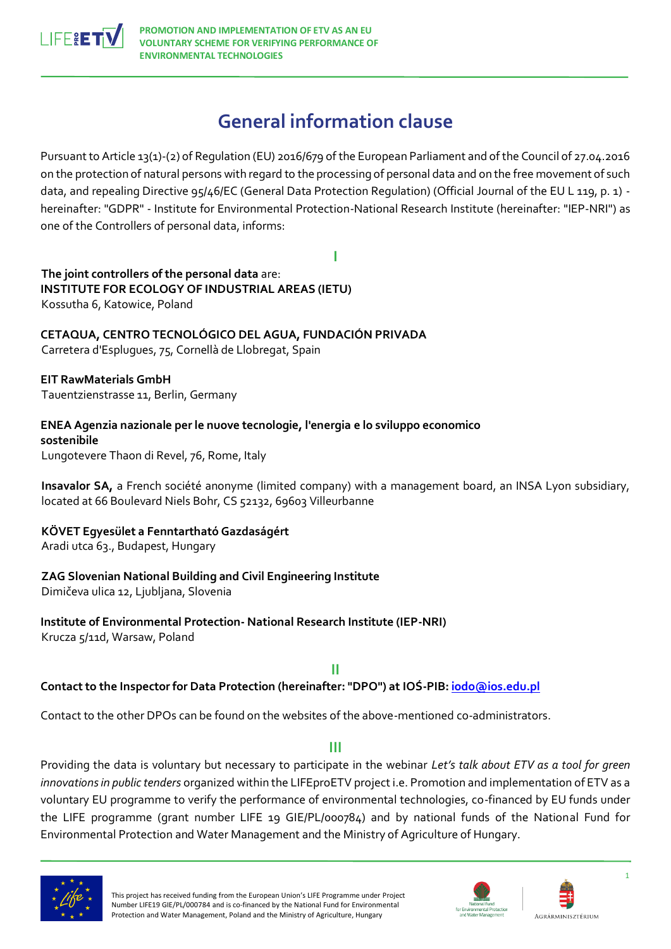

# **General information clause**

Pursuant to Article 13(1)-(2) of Regulation (EU) 2016/679 of the European Parliament and of the Council of 27.04.2016 on the protection of natural persons with regard to the processing of personal data and on the free movement of such data, and repealing Directive 95/46/EC (General Data Protection Regulation) (Official Journal of the EU L 119, p. 1) hereinafter: "GDPR" - Institute for Environmental Protection-National Research Institute (hereinafter: "IEP-NRI") as one of the Controllers of personal data, informs:

**I**

**The joint controllers of the personal data** are: **INSTITUTE FOR ECOLOGY OF INDUSTRIAL AREAS (IETU)**  Kossutha 6, Katowice, Poland

**CETAQUA, CENTRO TECNOLÓGICO DEL AGUA, FUNDACIÓN PRIVADA**  Carretera d'Esplugues, 75, Cornellà de Llobregat, Spain

**EIT RawMaterials GmbH**  Tauentzienstrasse 11, Berlin, Germany

**ENEA Agenzia nazionale per le nuove tecnologie, l'energia e lo sviluppo economico sostenibile**  Lungotevere Thaon di Revel, 76, Rome, Italy

**Insavalor SA,** a French société anonyme (limited company) with a management board, an INSA Lyon subsidiary, located at 66 Boulevard Niels Bohr, CS 52132, 69603 Villeurbanne

**KÖVET Egyesület a Fenntartható Gazdaságért**

Aradi utca 63., Budapest, Hungary

# **ZAG Slovenian National Building and Civil Engineering Institute**

Dimičeva ulica 12, Ljubljana, Slovenia

**Institute of Environmental Protection- National Research Institute (IEP-NRI)**  Krucza 5/11d, Warsaw, Poland

**II**

**Contact to the Inspector for Data Protection (hereinafter: "DPO") at IOŚ-PIB[: iodo@ios.edu.pl](mailto:iodo@ios.edu.pl)**

Contact to the other DPOs can be found on the websites of the above-mentioned co-administrators.

# **III**

Providing the data is voluntary but necessary to participate in the webinar *Let's talk about ETV as a tool for green innovations in public tenders* organized within the LIFEproETV project i.e. Promotion and implementation of ETV as a voluntary EU programme to verify the performance of environmental technologies, co-financed by EU funds under the LIFE programme (grant number LIFE 19 GIE/PL/000784) and by national funds of the National Fund for Environmental Protection and Water Management and the Ministry of Agriculture of Hungary.



This project has received funding from the European Union's LIFE Programme under Project Number LIFE19 GIE/PL/000784 and is co-financed by the National Fund for Environmental Protection and Water Management, Poland and the Ministry of Agriculture, Hungary